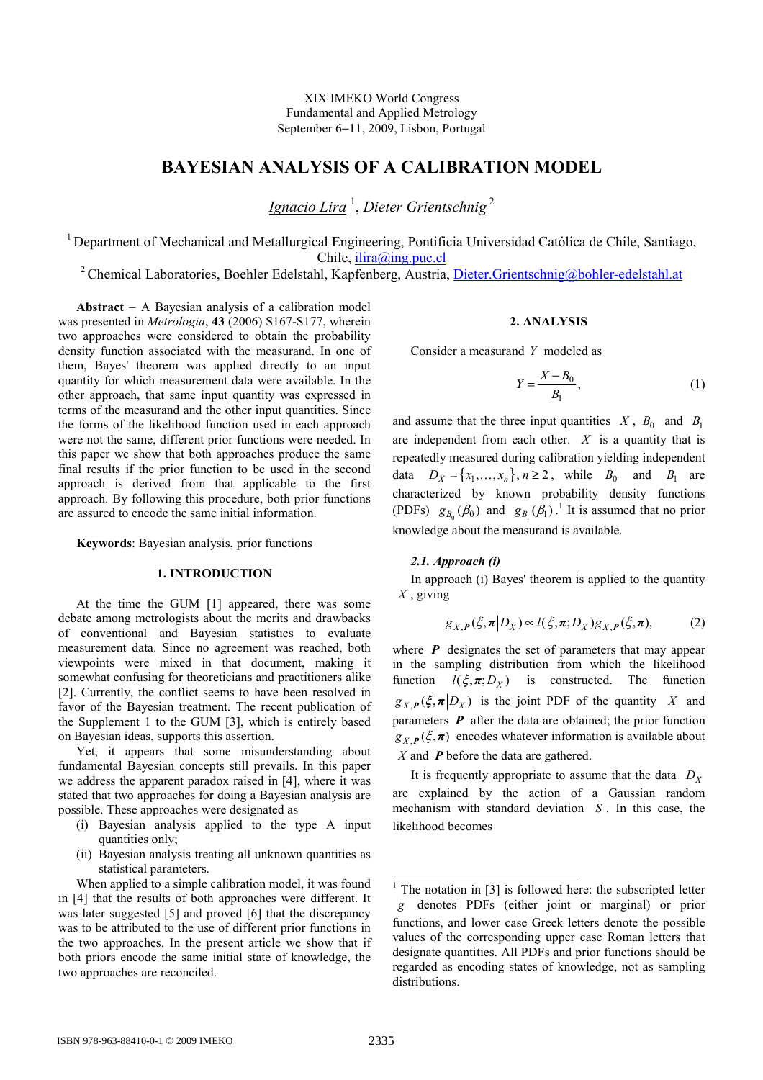XIX IMEKO World Congress Fundamental and Applied Metrology September 6−11, 2009, Lisbon, Portugal

# BAYESIAN ANALYSIS OF A CALIBRATION MODEL

<u>Ignacio Lira</u> <sup>1</sup>, Dieter Grientschnig <sup>2</sup>

<sup>1</sup> Department of Mechanical and Metallurgical Engineering, Pontificia Universidad Católica de Chile, Santiago, Chile, ilira@ing.puc.cl

<sup>2</sup> Chemical Laboratories, Boehler Edelstahl, Kapfenberg, Austria, Dieter.Grientschnig@bohler-edelstahl.at

Abstract − A Bayesian analysis of a calibration model was presented in *Metrologia*, 43 (2006) S167-S177, wherein two approaches were considered to obtain the probability density function associated with the measurand. In one of them, Bayes' theorem was applied directly to an input quantity for which measurement data were available. In the other approach, that same input quantity was expressed in terms of the measurand and the other input quantities. Since the forms of the likelihood function used in each approach were not the same, different prior functions were needed. In this paper we show that both approaches produce the same final results if the prior function to be used in the second approach is derived from that applicable to the first approach. By following this procedure, both prior functions are assured to encode the same initial information.

Keywords: Bayesian analysis, prior functions

# 1. INTRODUCTION

At the time the GUM [1] appeared, there was some debate among metrologists about the merits and drawbacks of conventional and Bayesian statistics to evaluate measurement data. Since no agreement was reached, both viewpoints were mixed in that document, making it somewhat confusing for theoreticians and practitioners alike [2]. Currently, the conflict seems to have been resolved in favor of the Bayesian treatment. The recent publication of the Supplement 1 to the GUM [3], which is entirely based on Bayesian ideas, supports this assertion.

Yet, it appears that some misunderstanding about fundamental Bayesian concepts still prevails. In this paper we address the apparent paradox raised in [4], where it was stated that two approaches for doing a Bayesian analysis are possible. These approaches were designated as

- (i) Bayesian analysis applied to the type A input quantities only:
- (ii) Bayesian analysis treating all unknown quantities as statistical parameters.

When applied to a simple calibration model, it was found in [4] that the results of both approaches were different. It was later suggested [5] and proved [6] that the discrepancy was to be attributed to the use of different prior functions in the two approaches. In the present article we show that if both priors encode the same initial state of knowledge, the two approaches are reconciled.

# 2. AALYSIS

Consider a measurand Y modeled as

$$
Y = \frac{X - B_0}{B_1},\tag{1}
$$

and assume that the three input quantities  $X$ ,  $B_0$  and  $B_1$ are independent from each other.  $X$  is a quantity that is repeatedly measured during calibration yielding independent data  $D_X = \{x_1, ..., x_n\}, n \ge 2$ , while  $B_0$  and  $B_1$  are characterized by known probability density functions (PDFs)  $g_{B_0}(\beta_0)$  and  $g_{B_1}(\beta_1)$ .<sup>1</sup> It is assumed that no prior knowledge about the measurand is available.

# 2.1. Approach (i)

In approach (i) Bayes' theorem is applied to the quantity  $X$ , giving

$$
g_{X,P}(\xi, \pi | D_X) \propto l(\xi, \pi; D_X) g_{X,P}(\xi, \pi), \tag{2}
$$

where  $\boldsymbol{P}$  designates the set of parameters that may appear in the sampling distribution from which the likelihood function  $l(\xi, \pi; D_X)$  is constructed. The function  $g_{X,P}(\xi, \pi | D_X)$  is the joint PDF of the quantity X and parameters  $\boldsymbol{P}$  after the data are obtained; the prior function  $g_{X,P}(\xi, \pi)$  encodes whatever information is available about  $X$  and  $P$  before the data are gathered.

It is frequently appropriate to assume that the data  $D_X$ are explained by the action of a Gaussian random mechanism with standard deviation S . In this case, the likelihood becomes

<sup>&</sup>lt;sup>1</sup> The notation in [3] is followed here: the subscripted letter g denotes PDFs (either joint or marginal) or prior functions, and lower case Greek letters denote the possible values of the corresponding upper case Roman letters that designate quantities. All PDFs and prior functions should be regarded as encoding states of knowledge, not as sampling distributions.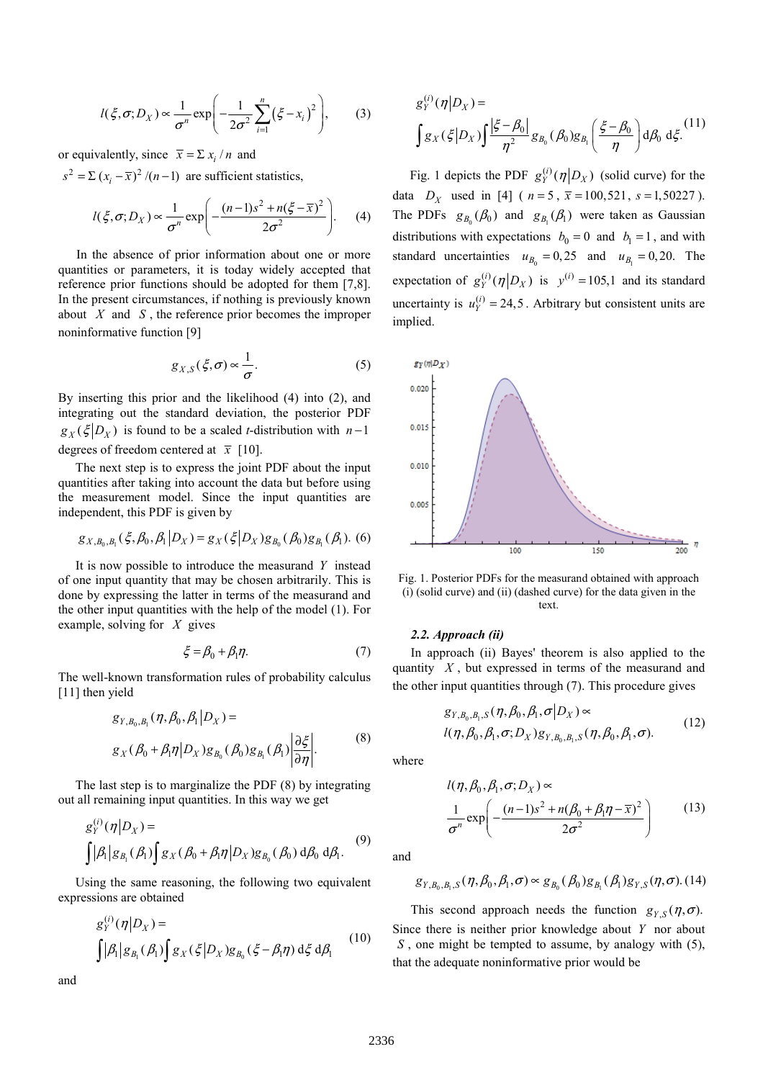$$
l(\xi,\sigma;D_X) \propto \frac{1}{\sigma^n} \exp\left(-\frac{1}{2\sigma^2} \sum_{i=1}^n (\xi - x_i)^2\right),\qquad(3)
$$

or equivalently, since  $\bar{x} = \sum x_i / n$  and

 $s^{2} = \sum (x_{i} - \overline{x})^{2} / (n-1)$  are sufficient statistics,

$$
l(\xi,\sigma;D_X) \propto \frac{1}{\sigma^n} \exp\left(-\frac{(n-1)s^2 + n(\xi-\overline{x})^2}{2\sigma^2}\right).
$$
 (4)

In the absence of prior information about one or more quantities or parameters, it is today widely accepted that reference prior functions should be adopted for them [7,8]. In the present circumstances, if nothing is previously known about  $X$  and  $S$ , the reference prior becomes the improper noninformative function [9]

$$
g_{X,S}(\xi,\sigma) \propto \frac{1}{\sigma}.\tag{5}
$$

By inserting this prior and the likelihood (4) into (2), and integrating out the standard deviation, the posterior PDF  $g_Y(\xi|_{D_Y})$  is found to be a scaled t-distribution with n –1 degrees of freedom centered at  $\bar{x}$  [10].

The next step is to express the joint PDF about the input quantities after taking into account the data but before using the measurement model. Since the input quantities are independent, this PDF is given by

$$
g_{X,B_0,B_1}(\xi,\beta_0,\beta_1|D_X) = g_X(\xi|D_X)g_{B_0}(\beta_0)g_{B_1}(\beta_1).
$$
 (6)

It is now possible to introduce the measurand  $Y$  instead of one input quantity that may be chosen arbitrarily. This is done by expressing the latter in terms of the measurand and the other input quantities with the help of the model (1). For example, solving for  $X$  gives

$$
\xi = \beta_0 + \beta_1 \eta. \tag{7}
$$

The well-known transformation rules of probability calculus [11] then yield

$$
g_{Y,B_0,B_1}(\eta,\beta_0,\beta_1|D_X) =
$$
  
\n
$$
g_X(\beta_0+\beta_1\eta|D_X)g_{B_0}(\beta_0)g_{B_1}(\beta_1)\left|\frac{\partial\xi}{\partial\eta}\right|.
$$
\n(8)

The last step is to marginalize the PDF (8) by integrating out all remaining input quantities. In this way we get

$$
g_Y^{(i)}(\eta|D_X) = \int |\beta_1| g_{B_i}(\beta_1) \int g_X(\beta_0 + \beta_1 \eta|D_X) g_{B_0}(\beta_0) d\beta_0 d\beta_1.
$$
 (9)

Using the same reasoning, the following two equivalent expressions are obtained

$$
g_Y^{(i)}(\eta|D_X) = \int |\beta_1| g_{B_i}(\beta_1) \int g_X(\xi|D_X) g_{B_0}(\xi - \beta_1 \eta) d\xi d\beta_1
$$
 (10)

and

$$
g_Y^{(i)}(\eta|D_X) =
$$
  

$$
\int g_X(\xi|D_X) \int \frac{|\xi - \beta_0|}{\eta^2} g_{B_0}(\beta_0) g_{B_1}(\frac{\xi - \beta_0}{\eta}) d\beta_0 d\xi.
$$
<sup>(11)</sup>

Fig. 1 depicts the PDF  $g_Y^{(i)}(\eta | D_X)$  (solid curve) for the data  $D_X$  used in [4] ( $n = 5$ ,  $\bar{x} = 100, 521$ ,  $s = 1,50227$ ). The PDFs  $g_{B_0}(\beta_0)$  and  $g_{B_1}(\beta_1)$  were taken as Gaussian distributions with expectations  $b_0 = 0$  and  $b_1 = 1$ , and with standard uncertainties  $u_{B_0} = 0, 25$  and  $u_{B_1} = 0, 20$ . The expectation of  $g_Y^{(i)}(\eta | D_X)$  is  $y^{(i)} = 105,1$  and its standard uncertainty is  $u_Y^{(i)} = 24,5$ . Arbitrary but consistent units are implied.



Fig. 1. Posterior PDFs for the measurand obtained with approach (i) (solid curve) and (ii) (dashed curve) for the data given in the text.

#### 2.2. Approach (ii)

In approach (ii) Bayes' theorem is also applied to the quantity  $X$ , but expressed in terms of the measurand and the other input quantities through (7). This procedure gives

$$
g_{Y,B_0,B_1,S}(\eta,\beta_0,\beta_1,\sigma|D_X) \propto
$$
  
 
$$
l(\eta,\beta_0,\beta_1,\sigma;D_X)g_{Y,B_0,B_1,S}(\eta,\beta_0,\beta_1,\sigma).
$$
 (12)

where

$$
l(\eta, \beta_0, \beta_1, \sigma; D_X) \propto
$$
  

$$
\frac{1}{\sigma^n} \exp\left(-\frac{(n-1)s^2 + n(\beta_0 + \beta_1\eta - \overline{x})^2}{2\sigma^2}\right)
$$
(13)

and

$$
g_{Y,B_0,B_1,S}(\eta,\beta_0,\beta_1,\sigma)\propto g_{B_0}(\beta_0)g_{B_1}(\beta_1)g_{Y,S}(\eta,\sigma). (14)
$$

This second approach needs the function  $g_{Y,S}(\eta, \sigma)$ . Since there is neither prior knowledge about  $Y$  nor about  $S$ , one might be tempted to assume, by analogy with  $(5)$ , that the adequate noninformative prior would be